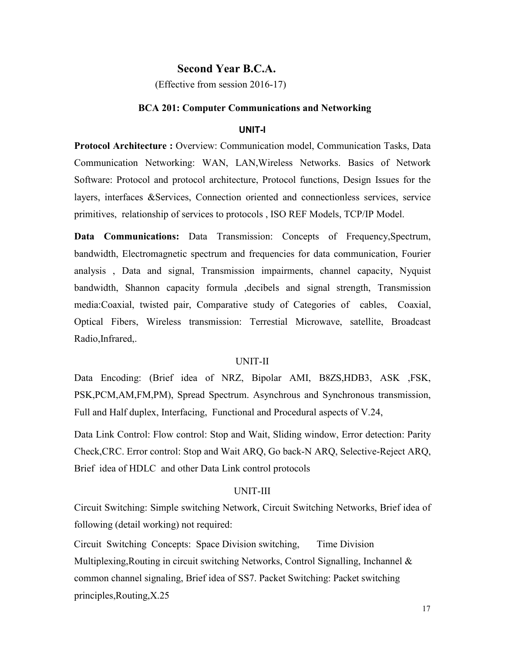# **Second Year B.C.A.**

(Effective from session 2016-17)

#### **BCA 201: Computer Communications and Networking**

#### **UNIT-I**

**Protocol Architecture :** Overview: Communication model, Communication Tasks, Data Communication Networking: WAN, LAN,Wireless Networks. Basics of Network Software: Protocol and protocol architecture, Protocol functions, Design Issues for the layers, interfaces &Services, Connection oriented and connectionless services, service primitives, relationship of services to protocols , ISO REF Models, TCP/IP Model.

Data Communications: Data Transmission: Concepts of Frequency, Spectrum, bandwidth, Electromagnetic spectrum and frequencies for data communication, Fourier analysis , Data and signal, Transmission impairments, channel capacity, Nyquist bandwidth, Shannon capacity formula ,decibels and signal strength, Transmission media:Coaxial, twisted pair, Comparative study of Categories of cables, Coaxial, Optical Fibers, Wireless transmission: Terrestial Microwave, satellite, Broadcast Radio,Infrared,.

#### UNIT-II

Data Encoding: (Brief idea of NRZ, Bipolar AMI, B8ZS,HDB3, ASK ,FSK, PSK,PCM,AM,FM,PM), Spread Spectrum. Asynchrous and Synchronous transmission, Full and Half duplex, Interfacing, Functional and Procedural aspects of V.24,

Data Link Control: Flow control: Stop and Wait, Sliding window, Error detection: Parity Check,CRC. Error control: Stop and Wait ARQ, Go back-N ARQ, Selective-Reject ARQ, Brief idea of HDLC and other Data Link control protocols

#### UNIT-III

Circuit Switching: Simple switching Network, Circuit Switching Networks, Brief idea of following (detail working) not required:

Circuit Switching Concepts: Space Division switching, Time Division Multiplexing,Routing in circuit switching Networks, Control Signalling, Inchannel & common channel signaling, Brief idea of SS7. Packet Switching: Packet switching principles,Routing,X.25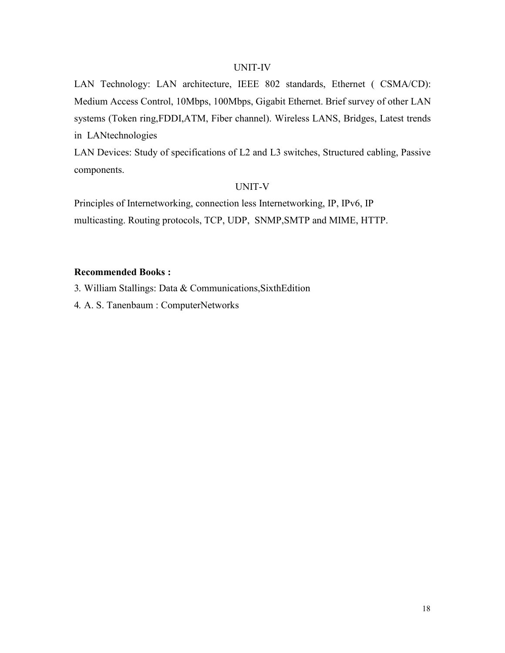### UNIT-IV

LAN Technology: LAN architecture, IEEE 802 standards, Ethernet ( CSMA/CD): Medium Access Control, 10Mbps, 100Mbps, Gigabit Ethernet. Brief survey of other LAN systems (Token ring,FDDI,ATM, Fiber channel). Wireless LANS, Bridges, Latest trends in LANtechnologies

LAN Devices: Study of specifications of L2 and L3 switches, Structured cabling, Passive components.

# UNIT-V

Principles of Internetworking, connection less Internetworking, IP, IPv6, IP multicasting. Routing protocols, TCP, UDP, SNMP,SMTP and MIME, HTTP.

# **Recommended Books :**

3. William Stallings: Data & Communications,SixthEdition

4. A. S. Tanenbaum : ComputerNetworks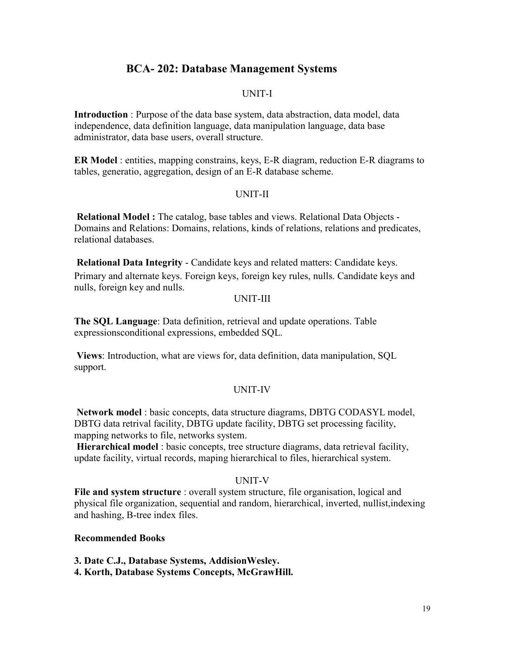# **BCA- 202: Database Management Systems**

# UNIT-I

**Introduction** : Purpose of the data base system, data abstraction, data model, data independence, data definition language, data manipulation language, data base administrator, data base users, overall structure.

**ER Model** : entities, mapping constrains, keys, E-R diagram, reduction E-R diagrams to tables, generatio, aggregation, design of an E-R database scheme.

# UNIT-II

**Relational Model :** The catalog, base tables and views. Relational Data Objects - Domains and Relations: Domains, relations, kinds of relations, relations and predicates, relational databases.

**Relational Data Integrity** - Candidate keys and related matters: Candidate keys. Primary and alternate keys. Foreign keys, foreign key rules, nulls. Candidate keys and nulls, foreign key and nulls.

### UNIT-III

**The SQL Language**: Data definition, retrieval and update operations. Table expressionsconditional expressions, embedded SQL.

**Views**: Introduction, what are views for, data definition, data manipulation, SQL support.

#### UNIT-IV

**Network model** : basic concepts, data structure diagrams, DBTG CODASYL model, DBTG data retrival facility, DBTG update facility, DBTG set processing facility, mapping networks to file, networks system.

**Hierarchical model** : basic concepts, tree structure diagrams, data retrieval facility, update facility, virtual records, maping hierarchical to files, hierarchical system.

# UNIT-V

**File and system structure** : overall system structure, file organisation, logical and physical file organization, sequential and random, hierarchical, inverted, nullist,indexing and hashing, B-tree index files.

#### **Recommended Books**

**3. Date C.J., Database Systems, AddisionWesley.** 

**4. Korth, Database Systems Concepts, McGrawHill.**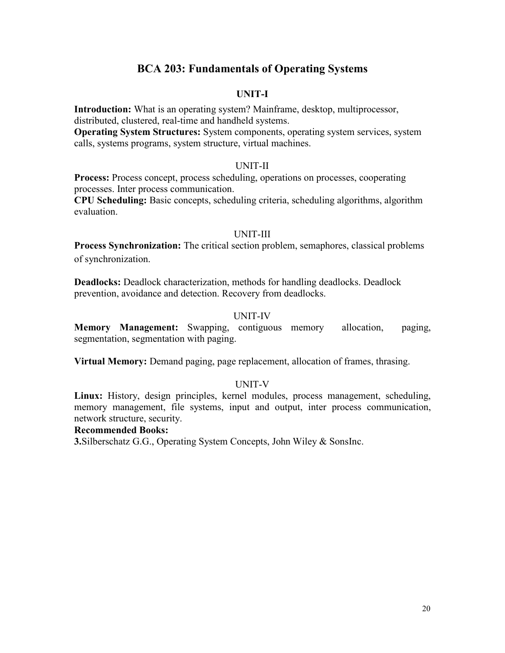# **BCA 203: Fundamentals of Operating Systems**

# **UNIT-I**

**Introduction:** What is an operating system? Mainframe, desktop, multiprocessor, distributed, clustered, real-time and handheld systems.

**Operating System Structures:** System components, operating system services, system calls, systems programs, system structure, virtual machines.

### UNIT-II

**Process:** Process concept, process scheduling, operations on processes, cooperating processes. Inter process communication.

**CPU Scheduling:** Basic concepts, scheduling criteria, scheduling algorithms, algorithm evaluation.

#### UNIT-III

**Process Synchronization:** The critical section problem, semaphores, classical problems of synchronization.

**Deadlocks:** Deadlock characterization, methods for handling deadlocks. Deadlock prevention, avoidance and detection. Recovery from deadlocks.

#### UNIT-IV

**Memory Management:** Swapping, contiguous memory allocation, paging, segmentation, segmentation with paging.

**Virtual Memory:** Demand paging, page replacement, allocation of frames, thrasing.

### UNIT-V

**Linux:** History, design principles, kernel modules, process management, scheduling, memory management, file systems, input and output, inter process communication, network structure, security.

#### **Recommended Books:**

**3.**Silberschatz G.G., Operating System Concepts, John Wiley & SonsInc.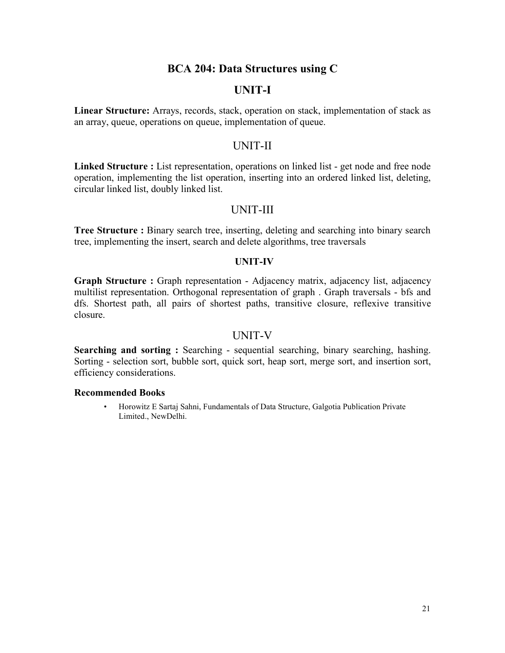# **BCA 204: Data Structures using C**

# **UNIT-I**

**Linear Structure:** Arrays, records, stack, operation on stack, implementation of stack as an array, queue, operations on queue, implementation of queue.

# UNIT-II

**Linked Structure :** List representation, operations on linked list - get node and free node operation, implementing the list operation, inserting into an ordered linked list, deleting, circular linked list, doubly linked list.

# UNIT-III

**Tree Structure :** Binary search tree, inserting, deleting and searching into binary search tree, implementing the insert, search and delete algorithms, tree traversals

### **UNIT-IV**

**Graph Structure :** Graph representation - Adjacency matrix, adjacency list, adjacency multilist representation. Orthogonal representation of graph . Graph traversals - bfs and dfs. Shortest path, all pairs of shortest paths, transitive closure, reflexive transitive closure.

# UNIT-V

**Searching and sorting :** Searching - sequential searching, binary searching, hashing. Sorting - selection sort, bubble sort, quick sort, heap sort, merge sort, and insertion sort, efficiency considerations.

#### **Recommended Books**

• Horowitz E Sartaj Sahni, Fundamentals of Data Structure, Galgotia Publication Private Limited., NewDelhi.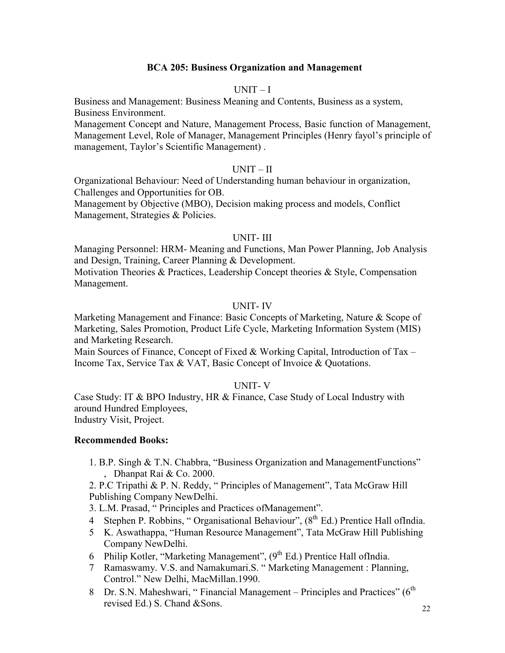# **BCA 205: Business Organization and Management**

# $UNIT-I$

Business and Management: Business Meaning and Contents, Business as a system, Business Environment.

Management Concept and Nature, Management Process, Basic function of Management, Management Level, Role of Manager, Management Principles (Henry fayol's principle of management, Taylor's Scientific Management) .

# UNIT – II

Organizational Behaviour: Need of Understanding human behaviour in organization, Challenges and Opportunities for OB.

Management by Objective (MBO), Decision making process and models, Conflict Management, Strategies & Policies.

### UNIT- III

Managing Personnel: HRM- Meaning and Functions, Man Power Planning, Job Analysis and Design, Training, Career Planning & Development.

Motivation Theories & Practices, Leadership Concept theories & Style, Compensation Management.

# UNIT- IV

Marketing Management and Finance: Basic Concepts of Marketing, Nature & Scope of Marketing, Sales Promotion, Product Life Cycle, Marketing Information System (MIS) and Marketing Research.

Main Sources of Finance, Concept of Fixed & Working Capital, Introduction of Tax – Income Tax, Service Tax & VAT, Basic Concept of Invoice & Quotations.

### UNIT- V

Case Study: IT & BPO Industry, HR & Finance, Case Study of Local Industry with around Hundred Employees, Industry Visit, Project.

# **Recommended Books:**

1. B.P. Singh & T.N. Chabbra, "Business Organization and ManagementFunctions" , Dhanpat Rai & Co. 2000.

2. P.C Tripathi & P. N. Reddy, " Principles of Management", Tata McGraw Hill Publishing Company NewDelhi.

3. L.M. Prasad, " Principles and Practices ofManagement".

- 4 Stephen P. Robbins, "Organisational Behaviour",  $(8<sup>th</sup> Ed.)$  Prentice Hall of India.
- 5 K. Aswathappa, "Human Resource Management", Tata McGraw Hill Publishing Company NewDelhi.
- 6 Philip Kotler, "Marketing Management", (9<sup>th</sup> Ed.) Prentice Hall ofIndia.
- 7 Ramaswamy. V.S. and Namakumari.S. " Marketing Management : Planning, Control." New Delhi, MacMillan.1990.
- 8 Dr. S.N. Maheshwari, "Financial Management Principles and Practices" (6<sup>th</sup> revised Ed.) S. Chand &Sons.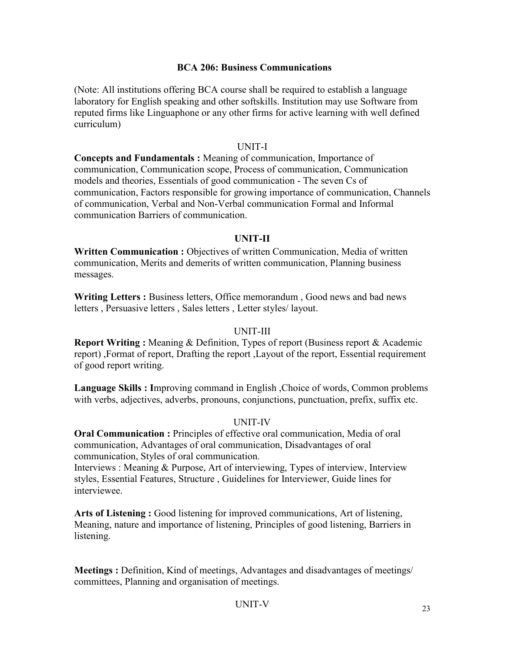# **BCA 206: Business Communications**

(Note: All institutions offering BCA course shall be required to establish a language laboratory for English speaking and other softskills. Institution may use Software from reputed firms like Linguaphone or any other firms for active learning with well defined curriculum)

# UNIT-I

**Concepts and Fundamentals :** Meaning of communication, Importance of communication, Communication scope, Process of communication, Communication models and theories, Essentials of good communication - The seven Cs of communication, Factors responsible for growing importance of communication, Channels of communication, Verbal and Non-Verbal communication Formal and Informal communication Barriers of communication.

# **UNIT-II**

**Written Communication :** Objectives of written Communication, Media of written communication, Merits and demerits of written communication, Planning business messages.

**Writing Letters :** Business letters, Office memorandum , Good news and bad news letters , Persuasive letters , Sales letters , Letter styles/ layout.

# UNIT-III

**Report Writing :** Meaning & Definition, Types of report (Business report & Academic report) ,Format of report, Drafting the report ,Layout of the report, Essential requirement of good report writing.

**Language Skills : I**mproving command in English ,Choice of words, Common problems with verbs, adjectives, adverbs, pronouns, conjunctions, punctuation, prefix, suffix etc.

# UNIT-IV

**Oral Communication :** Principles of effective oral communication, Media of oral communication, Advantages of oral communication, Disadvantages of oral communication, Styles of oral communication.

Interviews : Meaning & Purpose, Art of interviewing, Types of interview, Interview styles, Essential Features, Structure , Guidelines for Interviewer, Guide lines for interviewee.

**Arts of Listening :** Good listening for improved communications, Art of listening, Meaning, nature and importance of listening, Principles of good listening, Barriers in listening.

**Meetings :** Definition, Kind of meetings, Advantages and disadvantages of meetings/ committees, Planning and organisation of meetings.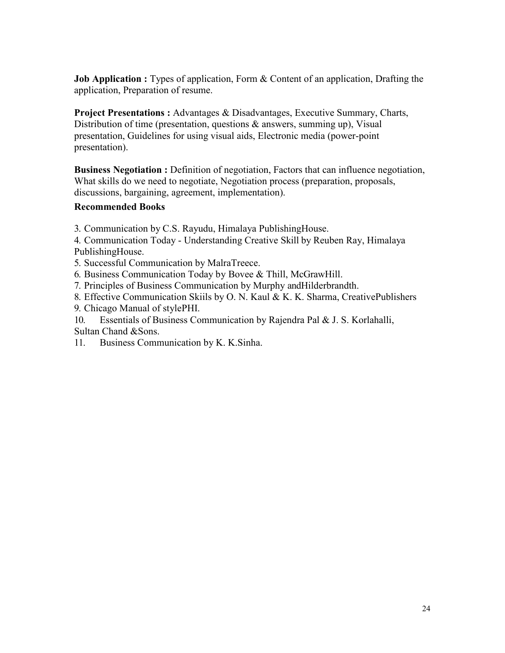**Job Application :** Types of application, Form & Content of an application, Drafting the application, Preparation of resume.

**Project Presentations :** Advantages & Disadvantages, Executive Summary, Charts, Distribution of time (presentation, questions & answers, summing up), Visual presentation, Guidelines for using visual aids, Electronic media (power-point presentation).

**Business Negotiation :** Definition of negotiation, Factors that can influence negotiation, What skills do we need to negotiate, Negotiation process (preparation, proposals, discussions, bargaining, agreement, implementation).

# **Recommended Books**

3. Communication by C.S. Rayudu, Himalaya PublishingHouse.

4. Communication Today - Understanding Creative Skill by Reuben Ray, Himalaya PublishingHouse.

5. Successful Communication by MalraTreece.

6. Business Communication Today by Bovee & Thill, McGrawHill.

7. Principles of Business Communication by Murphy andHilderbrandth.

8. Effective Communication Skiils by O. N. Kaul & K. K. Sharma, CreativePublishers 9. Chicago Manual of stylePHI.

10. Essentials of Business Communication by Rajendra Pal & J. S. Korlahalli, Sultan Chand &Sons.

11. Business Communication by K. K.Sinha.